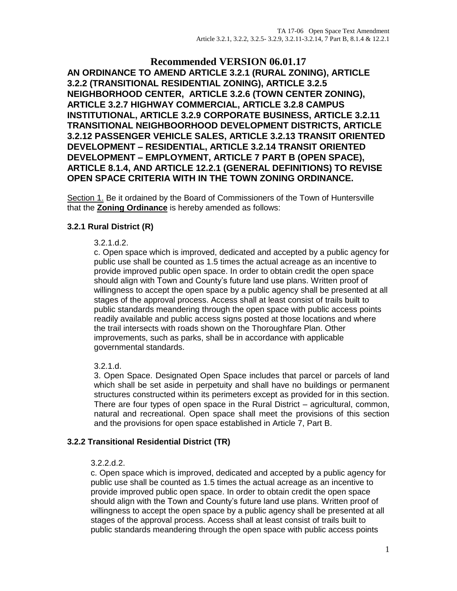### **Recommended VERSION 06.01.17 AN ORDINANCE TO AMEND ARTICLE 3.2.1 (RURAL ZONING), ARTICLE 3.2.2 (TRANSITIONAL RESIDENTIAL ZONING), ARTICLE 3.2.5 NEIGHBORHOOD CENTER, ARTICLE 3.2.6 (TOWN CENTER ZONING), ARTICLE 3.2.7 HIGHWAY COMMERCIAL, ARTICLE 3.2.8 CAMPUS INSTITUTIONAL, ARTICLE 3.2.9 CORPORATE BUSINESS, ARTICLE 3.2.11 TRANSITIONAL NEIGHBOORHOOD DEVELOPMENT DISTRICTS, ARTICLE 3.2.12 PASSENGER VEHICLE SALES, ARTICLE 3.2.13 TRANSIT ORIENTED DEVELOPMENT – RESIDENTIAL, ARTICLE 3.2.14 TRANSIT ORIENTED DEVELOPMENT – EMPLOYMENT, ARTICLE 7 PART B (OPEN SPACE), ARTICLE 8.1.4, AND ARTICLE 12.2.1 (GENERAL DEFINITIONS) TO REVISE OPEN SPACE CRITERIA WITH IN THE TOWN ZONING ORDINANCE.**

Section 1. Be it ordained by the Board of Commissioners of the Town of Huntersville that the **Zoning Ordinance** is hereby amended as follows:

### **3.2.1 Rural District (R)**

#### 3.2.1.d.2.

c. Open space which is improved, dedicated and accepted by a public agency for public use shall be counted as 1.5 times the actual acreage as an incentive to provide improved public open space. In order to obtain credit the open space should align with Town and County's future land use plans. Written proof of willingness to accept the open space by a public agency shall be presented at all stages of the approval process. Access shall at least consist of trails built to public standards meandering through the open space with public access points readily available and public access signs posted at those locations and where the trail intersects with roads shown on the Thoroughfare Plan. Other improvements, such as parks, shall be in accordance with applicable governmental standards.

### 3.2.1.d.

3. Open Space. Designated Open Space includes that parcel or parcels of land which shall be set aside in perpetuity and shall have no buildings or permanent structures constructed within its perimeters except as provided for in this section. There are four types of open space in the Rural District – agricultural, common, natural and recreational. Open space shall meet the provisions of this section and the provisions for open space established in Article 7, Part B.

### **3.2.2 Transitional Residential District (TR)**

#### 3.2.2.d.2.

c. Open space which is improved, dedicated and accepted by a public agency for public use shall be counted as 1.5 times the actual acreage as an incentive to provide improved public open space. In order to obtain credit the open space should align with the Town and County's future land use plans. Written proof of willingness to accept the open space by a public agency shall be presented at all stages of the approval process. Access shall at least consist of trails built to public standards meandering through the open space with public access points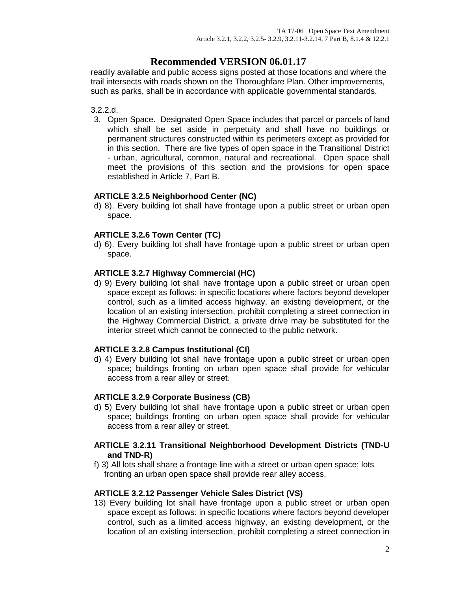readily available and public access signs posted at those locations and where the trail intersects with roads shown on the Thoroughfare Plan. Other improvements, such as parks, shall be in accordance with applicable governmental standards.

#### 3.2.2.d.

3. Open Space. Designated Open Space includes that parcel or parcels of land which shall be set aside in perpetuity and shall have no buildings or permanent structures constructed within its perimeters except as provided for in this section. There are five types of open space in the Transitional District - urban, agricultural, common, natural and recreational. Open space shall meet the provisions of this section and the provisions for open space established in Article 7, Part B.

#### **ARTICLE 3.2.5 Neighborhood Center (NC)**

d) 8). Every building lot shall have frontage upon a public street or urban open space.

#### **ARTICLE 3.2.6 Town Center (TC)**

d) 6). Every building lot shall have frontage upon a public street or urban open space.

#### **ARTICLE 3.2.7 Highway Commercial (HC)**

d) 9) Every building lot shall have frontage upon a public street or urban open space except as follows: in specific locations where factors beyond developer control, such as a limited access highway, an existing development, or the location of an existing intersection, prohibit completing a street connection in the Highway Commercial District, a private drive may be substituted for the interior street which cannot be connected to the public network.

#### **ARTICLE 3.2.8 Campus Institutional (CI)**

d) 4) Every building lot shall have frontage upon a public street or urban open space; buildings fronting on urban open space shall provide for vehicular access from a rear alley or street.

#### **ARTICLE 3.2.9 Corporate Business (CB)**

d) 5) Every building lot shall have frontage upon a public street or urban open space; buildings fronting on urban open space shall provide for vehicular access from a rear alley or street.

#### **ARTICLE 3.2.11 Transitional Neighborhood Development Districts (TND-U and TND-R)**

f) 3) All lots shall share a frontage line with a street or urban open space; lots fronting an urban open space shall provide rear alley access.

#### **ARTICLE 3.2.12 Passenger Vehicle Sales District (VS)**

13) Every building lot shall have frontage upon a public street or urban open space except as follows: in specific locations where factors beyond developer control, such as a limited access highway, an existing development, or the location of an existing intersection, prohibit completing a street connection in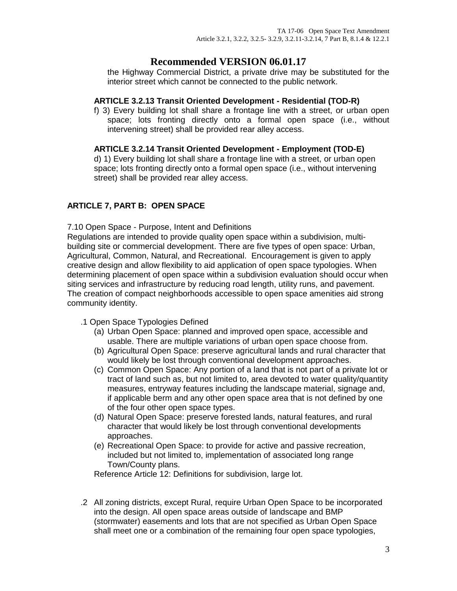the Highway Commercial District, a private drive may be substituted for the interior street which cannot be connected to the public network.

### **ARTICLE 3.2.13 Transit Oriented Development - Residential (TOD-R)**

f) 3) Every building lot shall share a frontage line with a street, or urban open space; lots fronting directly onto a formal open space (i.e., without intervening street) shall be provided rear alley access.

### **ARTICLE 3.2.14 Transit Oriented Development - Employment (TOD-E)**

d) 1) Every building lot shall share a frontage line with a street, or urban open space; lots fronting directly onto a formal open space (i.e., without intervening street) shall be provided rear alley access.

### **ARTICLE 7, PART B: OPEN SPACE**

### 7.10 Open Space - Purpose, Intent and Definitions

Regulations are intended to provide quality open space within a subdivision, multibuilding site or commercial development. There are five types of open space: Urban, Agricultural, Common, Natural, and Recreational. Encouragement is given to apply creative design and allow flexibility to aid application of open space typologies. When determining placement of open space within a subdivision evaluation should occur when siting services and infrastructure by reducing road length, utility runs, and pavement. The creation of compact neighborhoods accessible to open space amenities aid strong community identity.

.1 Open Space Typologies Defined

- (a) Urban Open Space: planned and improved open space, accessible and usable. There are multiple variations of urban open space choose from.
- (b) Agricultural Open Space: preserve agricultural lands and rural character that would likely be lost through conventional development approaches.
- (c) Common Open Space: Any portion of a land that is not part of a private lot or tract of land such as, but not limited to, area devoted to water quality/quantity measures, entryway features including the landscape material, signage and, if applicable berm and any other open space area that is not defined by one of the four other open space types.
- (d) Natural Open Space: preserve forested lands, natural features, and rural character that would likely be lost through conventional developments approaches.
- (e) Recreational Open Space: to provide for active and passive recreation, included but not limited to, implementation of associated long range Town/County plans.

Reference Article 12: Definitions for subdivision, large lot.

.2 All zoning districts, except Rural, require Urban Open Space to be incorporated into the design. All open space areas outside of landscape and BMP (stormwater) easements and lots that are not specified as Urban Open Space shall meet one or a combination of the remaining four open space typologies,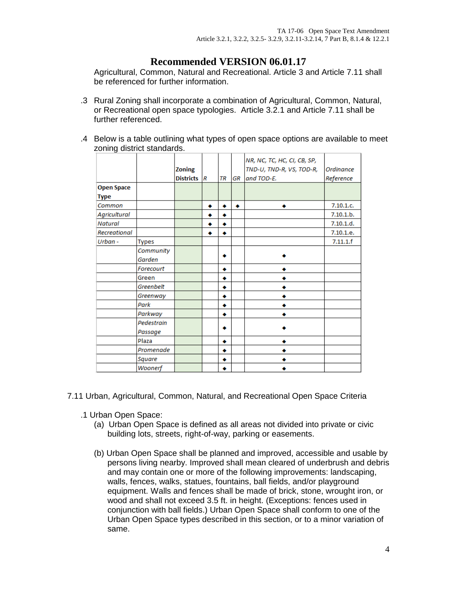Agricultural, Common, Natural and Recreational. Article 3 and Article 7.11 shall be referenced for further information.

- .3 Rural Zoning shall incorporate a combination of Agricultural, Common, Natural, or Recreational open space typologies. Article 3.2.1 and Article 7.11 shall be further referenced.
- .4 Below is a table outlining what types of open space options are available to meet zoning district standards.

|                       | <b>Zoning</b><br><b>Districts</b> |   | TR | GR | NR, NC, TC, HC, CI, CB, SP,<br>TND-U, TND-R, VS, TOD-R,<br>and TOD-E. | Ordinance<br>Reference |
|-----------------------|-----------------------------------|---|----|----|-----------------------------------------------------------------------|------------------------|
|                       |                                   |   |    |    |                                                                       |                        |
|                       |                                   | ٠ | ٠  | ٠  |                                                                       | 7.10.1.c.              |
|                       |                                   |   |    |    |                                                                       | 7.10.1.b.              |
|                       |                                   | ٠ | ۰  |    |                                                                       | 7.10.1.d.              |
|                       |                                   |   |    |    |                                                                       | 7.10.1.e.              |
| Types                 |                                   |   |    |    |                                                                       | 7.11.1.f               |
| Community             |                                   |   |    |    |                                                                       |                        |
| Garden                |                                   |   |    |    |                                                                       |                        |
| Forecourt             |                                   |   | ٠  |    |                                                                       |                        |
| Green                 |                                   |   | ۰  |    |                                                                       |                        |
| Greenbelt             |                                   |   | ۰  |    |                                                                       |                        |
| Greenway              |                                   |   | ۰  |    |                                                                       |                        |
| Park                  |                                   |   | ٠  |    |                                                                       |                        |
| Parkway               |                                   |   | ٠  |    |                                                                       |                        |
| Pedestrain<br>Passage |                                   |   |    |    |                                                                       |                        |
| Plaza                 |                                   |   | ٠  |    |                                                                       |                        |
| Promenade             |                                   |   | ٠  |    |                                                                       |                        |
| Square                |                                   |   | ٠  |    |                                                                       |                        |
| Woonerf               |                                   |   |    |    |                                                                       |                        |
|                       |                                   |   | R  |    |                                                                       |                        |

7.11 Urban, Agricultural, Common, Natural, and Recreational Open Space Criteria

- .1 Urban Open Space:
	- (a) Urban Open Space is defined as all areas not divided into private or civic building lots, streets, right-of-way, parking or easements.
	- (b) Urban Open Space shall be planned and improved, accessible and usable by persons living nearby. Improved shall mean cleared of underbrush and debris and may contain one or more of the following improvements: landscaping, walls, fences, walks, statues, fountains, ball fields, and/or playground equipment. Walls and fences shall be made of brick, stone, wrought iron, or wood and shall not exceed 3.5 ft. in height. (Exceptions: fences used in conjunction with ball fields.) Urban Open Space shall conform to one of the Urban Open Space types described in this section, or to a minor variation of same.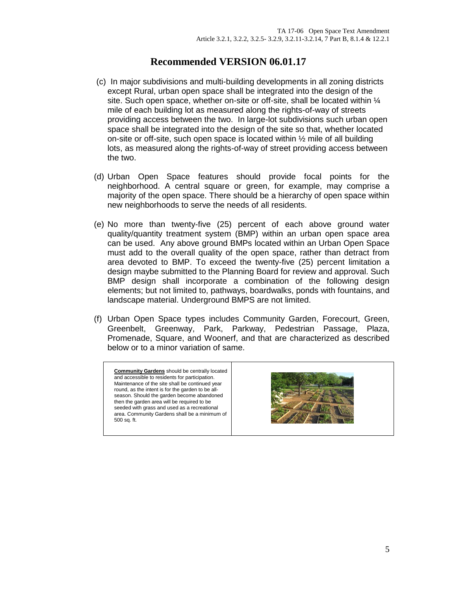- (c) In major subdivisions and multi-building developments in all zoning districts except Rural, urban open space shall be integrated into the design of the site. Such open space, whether on-site or off-site, shall be located within ¼ mile of each building lot as measured along the rights-of-way of streets providing access between the two. In large-lot subdivisions such urban open space shall be integrated into the design of the site so that, whether located on-site or off-site, such open space is located within ½ mile of all building lots, as measured along the rights-of-way of street providing access between the two.
- (d) Urban Open Space features should provide focal points for the neighborhood. A central square or green, for example, may comprise a majority of the open space. There should be a hierarchy of open space within new neighborhoods to serve the needs of all residents.
- (e) No more than twenty-five (25) percent of each above ground water quality/quantity treatment system (BMP) within an urban open space area can be used. Any above ground BMPs located within an Urban Open Space must add to the overall quality of the open space, rather than detract from area devoted to BMP. To exceed the twenty-five (25) percent limitation a design maybe submitted to the Planning Board for review and approval. Such BMP design shall incorporate a combination of the following design elements; but not limited to, pathways, boardwalks, ponds with fountains, and landscape material. Underground BMPS are not limited.
- (f) Urban Open Space types includes Community Garden, Forecourt, Green, Greenbelt, Greenway, Park, Parkway, Pedestrian Passage, Plaza, Promenade, Square, and Woonerf, and that are characterized as described below or to a minor variation of same.

**Community Gardens** should be centrally located and accessible to residents for participation. Maintenance of the site shall be continued year round, as the intent is for the garden to be allseason. Should the garden become abandoned then the garden area will be required to be seeded with grass and used as a recreational area. Community Gardens shall be a minimum of 500 sq. ft.

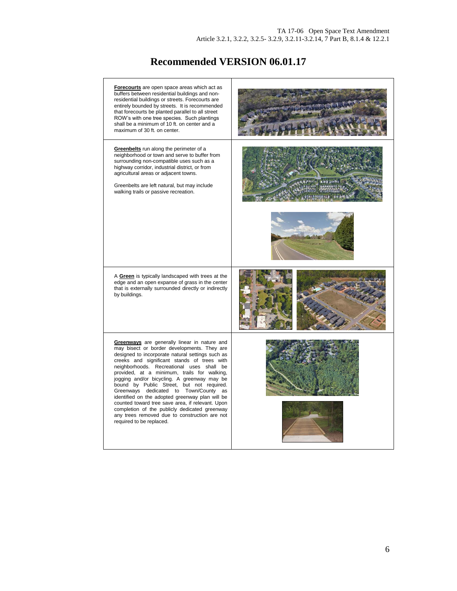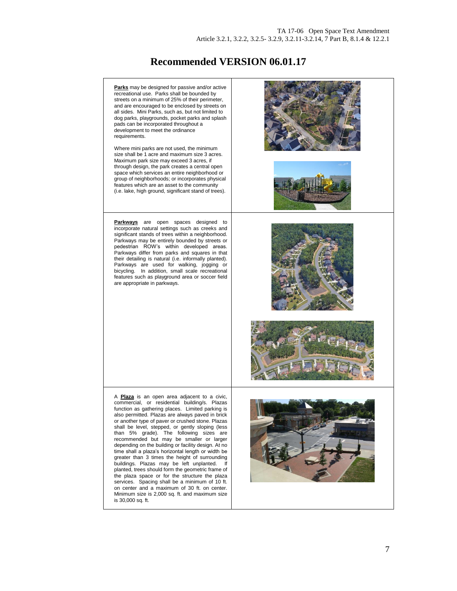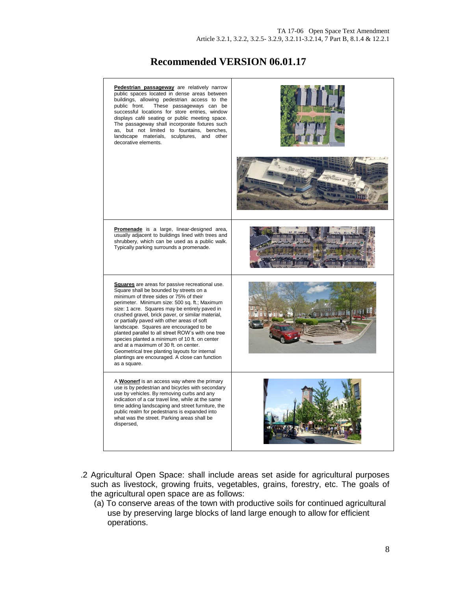| Pedestrian passageway are relatively narrow<br>public spaces located in dense areas between<br>buildings, allowing pedestrian access to the<br>These passageways can be<br>public front.<br>successful locations for store entries, window<br>displays café seating or public meeting space.<br>The passageway shall incorporate fixtures such<br>as, but not limited to fountains, benches,<br>landscape materials, sculptures, and other<br>decorative elements.                                                                                                                                                                                                |                |
|-------------------------------------------------------------------------------------------------------------------------------------------------------------------------------------------------------------------------------------------------------------------------------------------------------------------------------------------------------------------------------------------------------------------------------------------------------------------------------------------------------------------------------------------------------------------------------------------------------------------------------------------------------------------|----------------|
|                                                                                                                                                                                                                                                                                                                                                                                                                                                                                                                                                                                                                                                                   | <b>Burnett</b> |
| Promenade is a large, linear-designed area,<br>usually adjacent to buildings lined with trees and<br>shrubbery, which can be used as a public walk.<br>Typically parking surrounds a promenade.                                                                                                                                                                                                                                                                                                                                                                                                                                                                   |                |
| <b>Squares</b> are areas for passive recreational use.<br>Square shall be bounded by streets on a<br>minimum of three sides or 75% of their<br>perimeter. Minimum size: 500 sq. ft.; Maximum<br>size: 1 acre. Squares may be entirely paved in<br>crushed gravel, brick paver, or similar material,<br>or partially paved with other areas of soft<br>landscape. Squares are encouraged to be<br>planted parallel to all street ROW's with one tree<br>species planted a minimum of 10 ft. on center<br>and at a maximum of 30 ft. on center.<br>Geometrical tree planting layouts for internal<br>plantings are encouraged. A close can function<br>as a square. |                |
| A Woonerf is an access way where the primary<br>use is by pedestrian and bicycles with secondary<br>use by vehicles. By removing curbs and any<br>indication of a car travel line, while at the same<br>time adding landscaping and street furniture, the<br>public realm for pedestrians is expanded into<br>what was the street. Parking areas shall be<br>dispersed,                                                                                                                                                                                                                                                                                           |                |

- .2 Agricultural Open Space: shall include areas set aside for agricultural purposes such as livestock, growing fruits, vegetables, grains, forestry, etc. The goals of the agricultural open space are as follows:
	- (a) To conserve areas of the town with productive soils for continued agricultural use by preserving large blocks of land large enough to allow for efficient operations.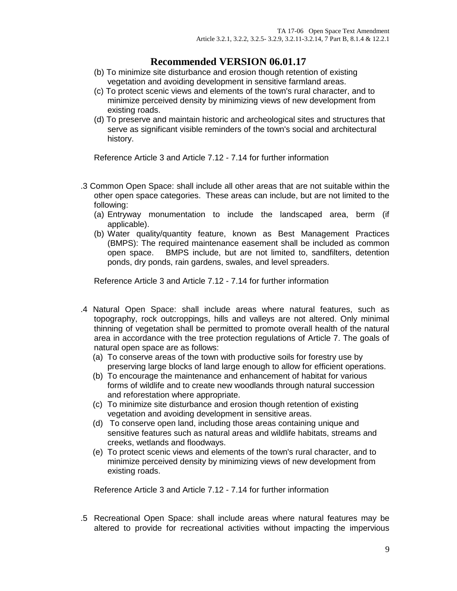- (b) To minimize site disturbance and erosion though retention of existing vegetation and avoiding development in sensitive farmland areas.
- (c) To protect scenic views and elements of the town's rural character, and to minimize perceived density by minimizing views of new development from existing roads.
- (d) To preserve and maintain historic and archeological sites and structures that serve as significant visible reminders of the town's social and architectural history.

Reference Article 3 and Article 7.12 - 7.14 for further information

- .3 Common Open Space: shall include all other areas that are not suitable within the other open space categories. These areas can include, but are not limited to the following:
	- (a) Entryway monumentation to include the landscaped area, berm (if applicable).
	- (b) Water quality/quantity feature, known as Best Management Practices (BMPS): The required maintenance easement shall be included as common open space. BMPS include, but are not limited to, sandfilters, detention ponds, dry ponds, rain gardens, swales, and level spreaders.

Reference Article 3 and Article 7.12 - 7.14 for further information

- .4 Natural Open Space: shall include areas where natural features, such as topography, rock outcroppings, hills and valleys are not altered. Only minimal thinning of vegetation shall be permitted to promote overall health of the natural area in accordance with the tree protection regulations of Article 7. The goals of natural open space are as follows:
	- (a) To conserve areas of the town with productive soils for forestry use by preserving large blocks of land large enough to allow for efficient operations.
	- (b) To encourage the maintenance and enhancement of habitat for various forms of wildlife and to create new woodlands through natural succession and reforestation where appropriate.
	- (c) To minimize site disturbance and erosion though retention of existing vegetation and avoiding development in sensitive areas.
	- (d) To conserve open land, including those areas containing unique and sensitive features such as natural areas and wildlife habitats, streams and creeks, wetlands and floodways.
	- (e) To protect scenic views and elements of the town's rural character, and to minimize perceived density by minimizing views of new development from existing roads.

Reference Article 3 and Article 7.12 - 7.14 for further information

.5 Recreational Open Space: shall include areas where natural features may be altered to provide for recreational activities without impacting the impervious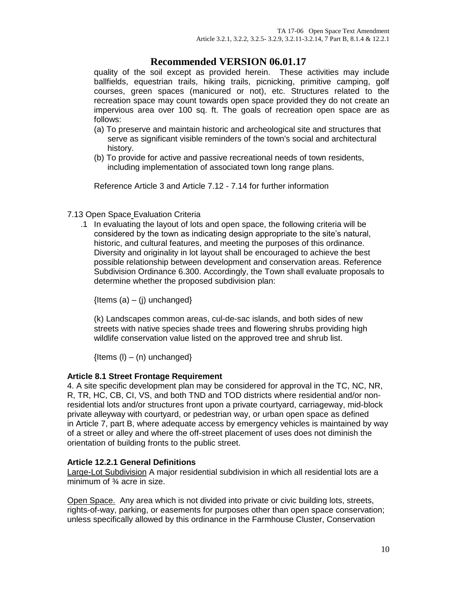quality of the soil except as provided herein. These activities may include ballfields, equestrian trails, hiking trails, picnicking, primitive camping, golf courses, green spaces (manicured or not), etc. Structures related to the recreation space may count towards open space provided they do not create an impervious area over 100 sq. ft. The goals of recreation open space are as follows:

- (a) To preserve and maintain historic and archeological site and structures that serve as significant visible reminders of the town's social and architectural history.
- (b) To provide for active and passive recreational needs of town residents, including implementation of associated town long range plans.

Reference Article 3 and Article 7.12 - 7.14 for further information

### 7.13 Open Space Evaluation Criteria

.1 In evaluating the layout of lots and open space, the following criteria will be considered by the town as indicating design appropriate to the site's natural, historic, and cultural features, and meeting the purposes of this ordinance. Diversity and originality in lot layout shall be encouraged to achieve the best possible relationship between development and conservation areas. Reference Subdivision Ordinance 6.300. Accordingly, the Town shall evaluate proposals to determine whether the proposed subdivision plan:

 ${Items (a) - (i)$  unchanged}

(k) Landscapes common areas, cul-de-sac islands, and both sides of new streets with native species shade trees and flowering shrubs providing high wildlife conservation value listed on the approved tree and shrub list.

 ${Items (I) - (n)$  unchanged}

#### **Article 8.1 Street Frontage Requirement**

4. A site specific development plan may be considered for approval in the TC, NC, NR, R, TR, HC, CB, CI, VS, and both TND and TOD districts where residential and/or nonresidential lots and/or structures front upon a private courtyard, carriageway, mid-block private alleyway with courtyard, or pedestrian way, or urban open space as defined in [Article](http://www.huntersville.org/Departments/Planning/OrdinancesandManuals/ZoningOrdinance/ARTICLE7LandscapingOpenSpace.aspx#7.10) 7, part B, where adequate access by emergency vehicles is maintained by way of a street or alley and where the off-street placement of uses does not diminish the orientation of building fronts to the public street.

#### **Article 12.2.1 General Definitions**

Large-Lot Subdivision A major residential subdivision in which all residential lots are a minimum of ¾ acre in size.

Open Space. Any area which is not divided into private or civic building lots, streets, rights-of-way, parking, or easements for purposes other than open space conservation; unless specifically allowed by this ordinance in the Farmhouse Cluster, Conservation